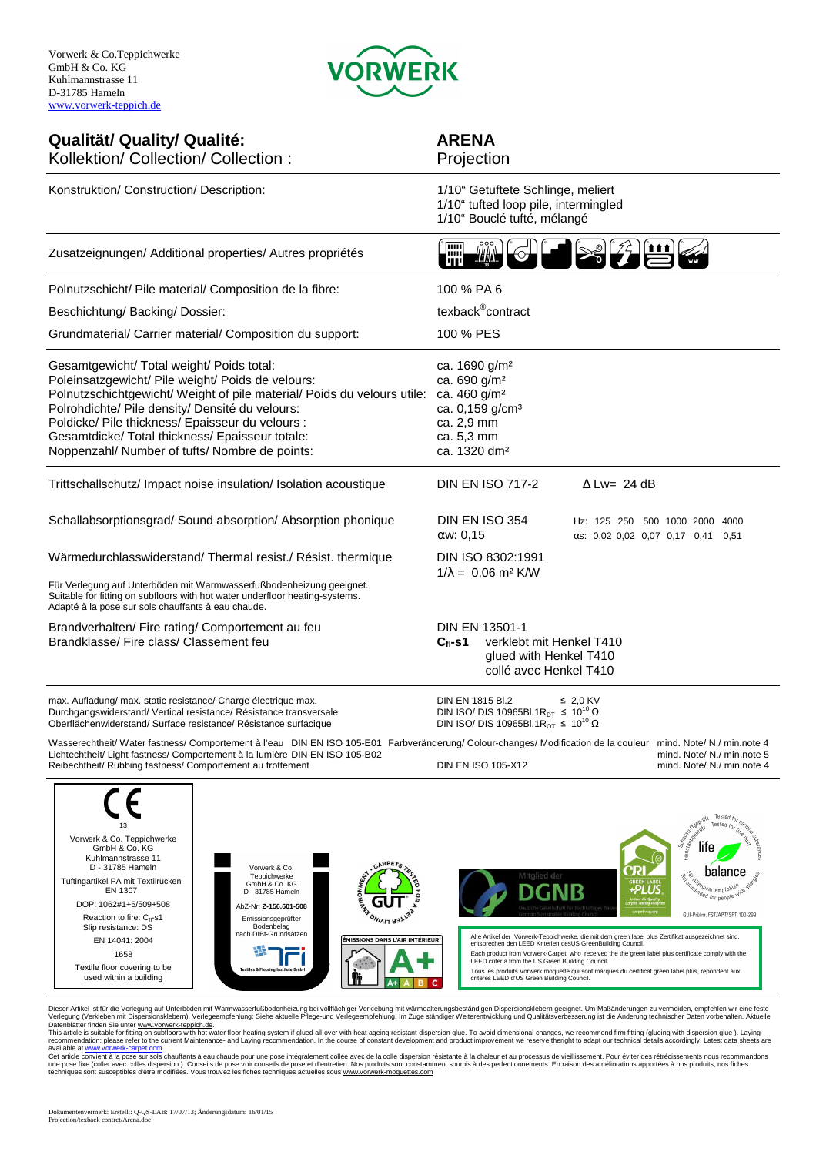

## **Qualität/ Quality/ Qualité: ARENA**

## 1/10" Bouclé tufté, mélangé<br>
Time MAC COM COM COM COM Kollektion/ Collection/ Collection : Projection Konstruktion/ Construction/ Description: 1/10" Getuftete Schlinge, meliert 1/10" tufted loop pile, intermingled Zusatzeignungen/ Additional properties/ Autres propriétés Polnutzschicht/ Pile material/ Composition de la fibre: 100 % PA 6 Beschichtung/ Backing/ Dossier: texback<sup>®</sup>contract Grundmaterial/ Carrier material/ Composition du support: 100 % PES Gesamtgewicht/ Total weight/ Poids total: ca. 1690 g/m<sup>2</sup> Poleinsatzgewicht/ Pile weight/ Poids de velours: ca. 690 g/m<sup>2</sup><br>Polnutzschichtgewicht/ Weight of pile material/ Poids du velours utile: ca. 460 g/m<sup>2</sup> Polnutzschichtgewicht/ Weight of pile material/ Poids du velours utile: Polrohdichte/ Pile density/ Densité du velours: ca. 0,159 g/cm<sup>3</sup> Poldicke/ Pile thickness/ Epaisseur du velours : ca. 2,9 mm Gesamtdicke/ Total thickness/ Epaisseur totale: ca. 5,3 mm Noppenzahl/ Number of tufts/ Nombre de points: ca. 1320 dm<sup>2</sup> Trittschallschutz/ Impact noise insulation/ Isolation acoustique DIN EN ISO 717-2 ∆ Lw= 24 dB Schallabsorptionsgrad/ Sound absorption/ Absorption phonique DIN EN ISO 354 Hz: 125 250 500 1000 2000 4000  $αw: 0.15$   $αs: 0.02 0.02 0.07 0.17 0.41 0.51$ Wärmedurchlasswiderstand/ Thermal resist./ Résist. thermique DIN ISO 8302:1991  $1/\lambda = 0.06$  m<sup>2</sup> K/W Für Verlegung auf Unterböden mit Warmwasserfußbodenheizung geeignet. Suitable for fitting on subfloors with hot water underfloor heating-systems. Adapté à la pose sur sols chauffants à eau chaude. Brandverhalten/ Fire rating/ Comportement au feu DIN EN 13501-1 Brandklasse/ Fire class/ Classement feu **Cfl-s1** verklebt mit Henkel T410 glued with Henkel T410 collé avec Henkel T410 max. Aufladung/ max. static resistance/ Charge électrique max. DIN EN 1815 Bl.2 ≤ 2,0 KV<br>DIN ISO/ DIS 10965Bl.1R<sub>DT</sub> ≤ 10<sup>10</sup> Ω Durchgangswiderstand/ Vertical resistance/ Résistance transversale DIN ISO/ DIS 10965Bl.1R<sub>DT</sub> ≤ 10<sup>10</sup> Ω<br>Oberflächenwiderstand/ Surface resistance/ Résistance surfacique DIN ISO/ DIS 10965Bl.1R<sub>OT</sub> ≤ 10<sup>10</sup> Ω Oberflächenwiderstand/ Surface resistance/ Résistance surfacique

Wasserechtheit/ Water fastness/ Comportement à l'eau DIN EN ISO 105-E01 Farbveränderung/ Colour-changes/ Modification de la couleur mind. Note/ N./ min.note 4 Lichtechtheit/ Light fastness/ Comportement à la lumière DIN EN ISO 105-B02<br>Reibechtheit/ Rubbing fastness/ Comportement au frottement<br>DIN EN ISO 105-X12 min.mote 4 mind. Note/ N./ min.note 4 Reibechtheit/ Rubbing fastness/ Comportement au frottement



Dieser Artikel ist für die Verlegung auf Unterböden mit Warmwasserfußbodenheizung bei vollflächiger Verklebung mit wärmealterungsbeständigen Dispersionsklebern geeignet. Um Maßänderungen zu vermeiden, empfehlen wir eine fe

This article is suitable for fitting on subfloors with hot water floor heating system if glued all-over with heat ageing resistant dispersion glue. To avoid dimensional changes, we recommend firm fitting (glueing with disp

available at <u>www.vorwerk-carpet.com</u>.<br>Cet article convient à la pose sur sols chauffants à eau chaude pour une pose intégralement collée avec de la colle dispersion résistante à la chaleur et au processus de vieillissemen techniques sont susceptibles d'être modifiées. Vous trouvez les fiches techniques actuelles sous www.vorwerk-moquettes.com